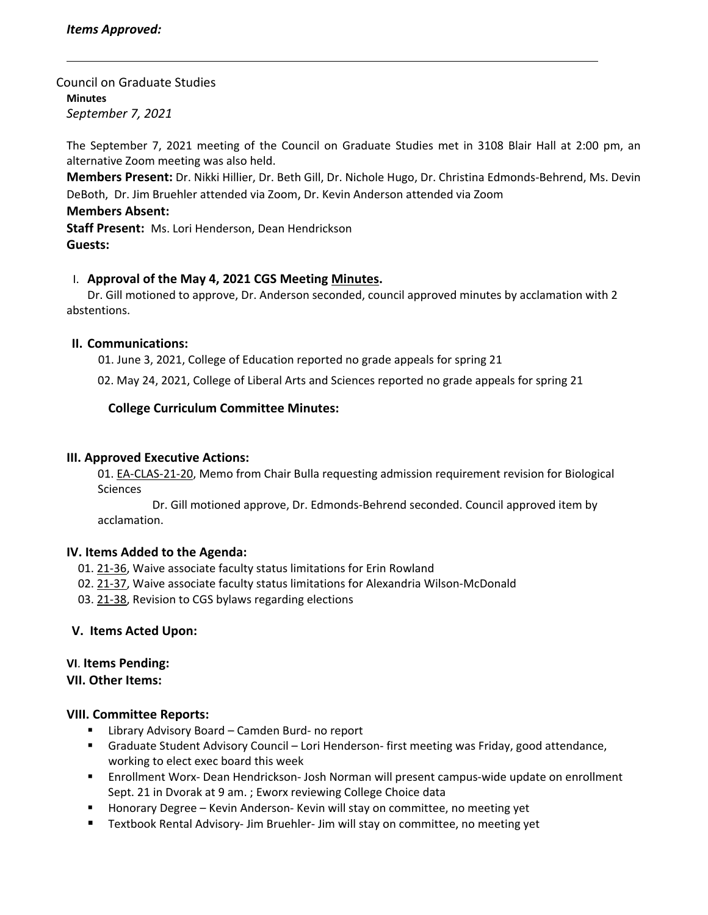#### Council on Graduate Studies **Minutes** *September 7, 2021*

The September 7, 2021 meeting of the Council on Graduate Studies met in 3108 Blair Hall at 2:00 pm, an alternative Zoom meeting was also held.

**Members Present:** Dr. Nikki Hillier, Dr. Beth Gill, Dr. Nichole Hugo, Dr. Christina Edmonds‐Behrend, Ms. Devin DeBoth, Dr. Jim Bruehler attended via Zoom, Dr. Kevin Anderson attended via Zoom

### **Members Absent:**

**Staff Present:** Ms. Lori Henderson, Dean Hendrickson **Guests:**

# I. **Approval of the May 4, 2021 CGS Meeting [Minutes.](https://castle.eiu.edu/eiucgs/currentminutes/Minutes5-4-21.pdf)**

Dr. Gill motioned to approve, Dr. Anderson seconded, council approved minutes by acclamation with 2 abstentions.

## **II. Communications:**

01. June 3, 2021, College of Education reported no grade appeals for spring 21

02. May 24, 2021, College of Liberal Arts and Sciences reported no grade appeals for spring 21

## **College Curriculum Committee Minutes:**

### **III. Approved Executive Actions:**

01. EA‐[CLAS](https://castle.eiu.edu/eiucgs/exec-actions/EA-CLAS-21-20.pdf)‐21‐20, Memo from Chair Bulla requesting admission requirement revision for Biological **Sciences** 

 Dr. Gill motioned approve, Dr. Edmonds‐Behrend seconded. Council approved item by acclamation.

### **IV. Items Added to the Agenda:**

- 01. 21‐[36,](https://castle.eiu.edu/eiucgs/currentagendaitems/agenda21-36.pdf) Waive associate faculty status limitations for Erin Rowland
- 02. 21‐[37,](https://castle.eiu.edu/eiucgs/currentagendaitems/agenda21-37.pdf) Waive associate faculty status limitations for Alexandria Wilson‐McDonald
- 03. 21‐[38,](https://castle.eiu.edu/eiucgs/currentagendaitems/agenda21-38.pdf) Revision to CGS bylaws regarding elections

### **V. Items Acted Upon:**

### **VI**. **Items Pending:**

#### **VII. Other Items:**

### **VIII. Committee Reports:**

- Library Advisory Board Camden Burd- no report
- Graduate Student Advisory Council Lori Henderson- first meeting was Friday, good attendance, working to elect exec board this week
- Enrollment Worx- Dean Hendrickson- Josh Norman will present campus-wide update on enrollment Sept. 21 in Dvorak at 9 am. ; Eworx reviewing College Choice data
- Honorary Degree Kevin Anderson-Kevin will stay on committee, no meeting yet
- Textbook Rental Advisory- Jim Bruehler- Jim will stay on committee, no meeting yet